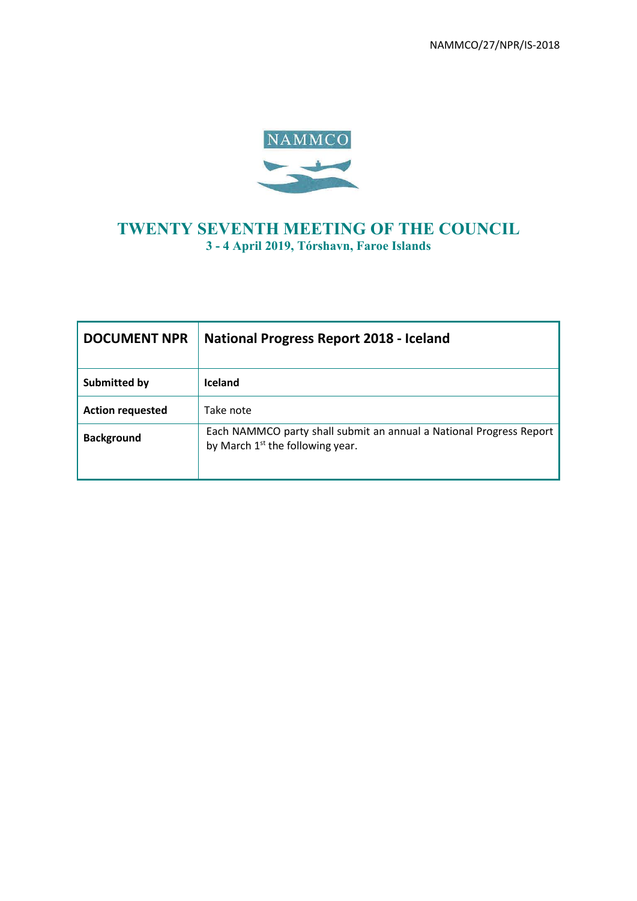NAMMCO/27/NPR/IS-2018



# **TWENTY SEVENTH MEETING OF THE COUNCIL 3 - 4 April 2019, Tórshavn, Faroe Islands**

| <b>DOCUMENT NPR</b>     | National Progress Report 2018 - Iceland                                                                   |
|-------------------------|-----------------------------------------------------------------------------------------------------------|
| Submitted by            | <b>Iceland</b>                                                                                            |
| <b>Action requested</b> | Take note                                                                                                 |
| <b>Background</b>       | Each NAMMCO party shall submit an annual a National Progress Report<br>by March $1st$ the following year. |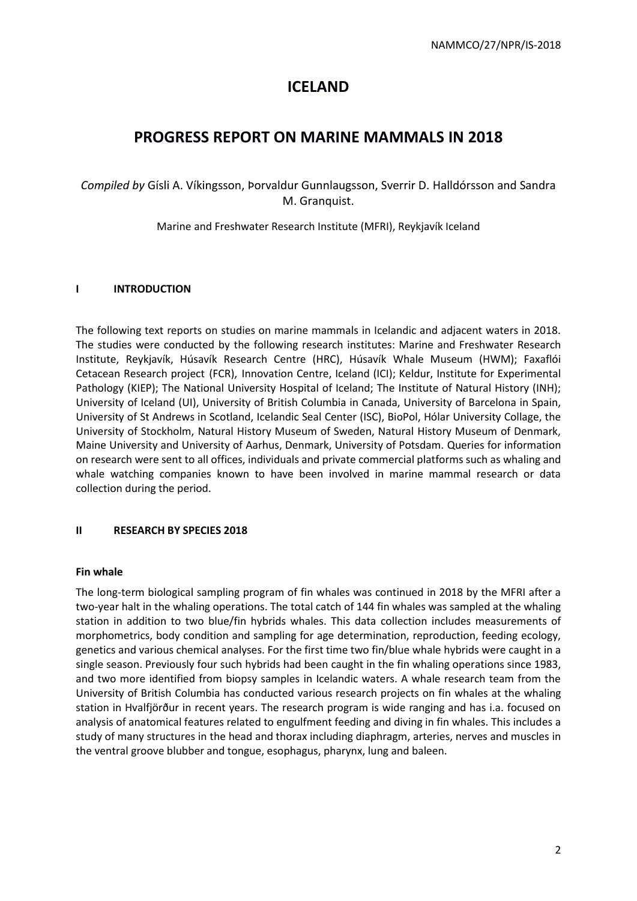# **ICELAND**

# **PROGRESS REPORT ON MARINE MAMMALS IN 2018**

*Compiled by* Gísli A. Víkingsson, Þorvaldur Gunnlaugsson, Sverrir D. Halldórsson and Sandra M. Granquist.

Marine and Freshwater Research Institute (MFRI), Reykjavík Iceland

# **I INTRODUCTION**

The following text reports on studies on marine mammals in Icelandic and adjacent waters in 2018. The studies were conducted by the following research institutes: Marine and Freshwater Research Institute, Reykjavík, Húsavík Research Centre (HRC), Húsavík Whale Museum (HWM); Faxaflói Cetacean Research project (FCR), Innovation Centre, Iceland (ICI); Keldur, Institute for Experimental Pathology (KIEP); The National University Hospital of Iceland; The Institute of Natural History (INH); University of Iceland (UI), University of British Columbia in Canada, University of Barcelona in Spain, University of St Andrews in Scotland, Icelandic Seal Center (ISC), BioPol, Hólar University Collage, the University of Stockholm, Natural History Museum of Sweden, Natural History Museum of Denmark, Maine University and University of Aarhus, Denmark, University of Potsdam. Queries for information on research were sent to all offices, individuals and private commercial platforms such as whaling and whale watching companies known to have been involved in marine mammal research or data collection during the period.

# **II RESEARCH BY SPECIES 2018**

## **Fin whale**

The long-term biological sampling program of fin whales was continued in 2018 by the MFRI after a two-year halt in the whaling operations. The total catch of 144 fin whales was sampled at the whaling station in addition to two blue/fin hybrids whales. This data collection includes measurements of morphometrics, body condition and sampling for age determination, reproduction, feeding ecology, genetics and various chemical analyses. For the first time two fin/blue whale hybrids were caught in a single season. Previously four such hybrids had been caught in the fin whaling operations since 1983, and two more identified from biopsy samples in Icelandic waters. A whale research team from the University of British Columbia has conducted various research projects on fin whales at the whaling station in Hvalfjörður in recent years. The research program is wide ranging and has i.a. focused on analysis of anatomical features related to engulfment feeding and diving in fin whales. This includes a study of many structures in the head and thorax including diaphragm, arteries, nerves and muscles in the ventral groove blubber and tongue, esophagus, pharynx, lung and baleen.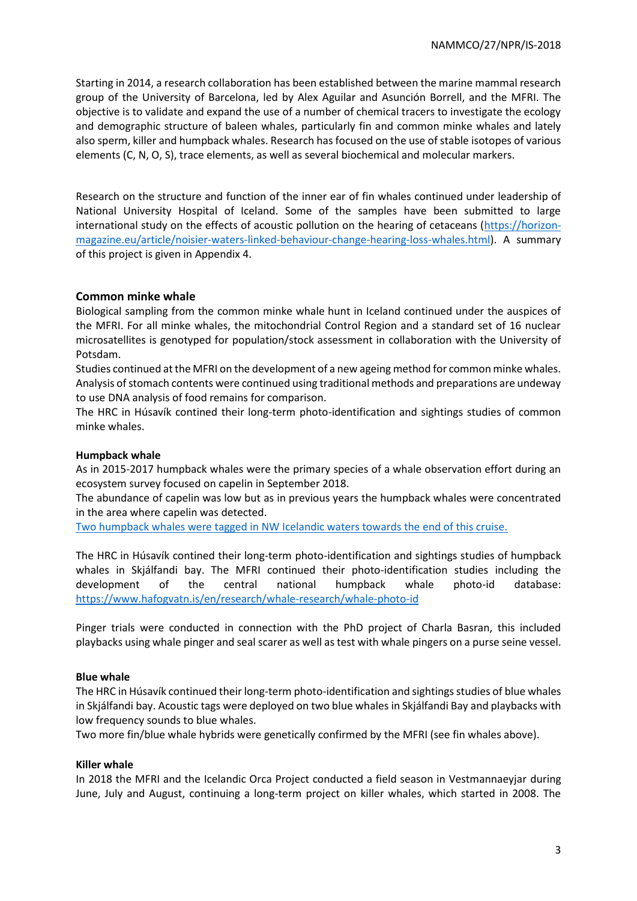Starting in 2014, a research collaboration has been established between the marine mammal research group of the University of Barcelona, led by Alex Aguilar and Asunción Borrell, and the MFRI. The objective is to validate and expand the use of a number of chemical tracers to investigate the ecology and demographic structure of baleen whales, particularly fin and common minke whales and lately also sperm, killer and humpback whales. Research has focused on the use of stable isotopes of various elements (C, N, O, S), trace elements, as well as several biochemical and molecular markers.

Research on the structure and function of the inner ear of fin whales continued under leadership of National University Hospital of Iceland. Some of the samples have been submitted to large international study on the effects of acoustic pollution on the hearing of cetaceans [\(https://horizon](https://horizon-magazine.eu/article/noisier-waters-linked-behaviour-change-hearing-loss-whales.html)[magazine.eu/article/noisier-waters-linked-behaviour-change-hearing-loss-whales.html\)](https://horizon-magazine.eu/article/noisier-waters-linked-behaviour-change-hearing-loss-whales.html). A summary of this project is given in Appendix 4.

## **Common minke whale**

Biological sampling from the common minke whale hunt in Iceland continued under the auspices of the MFRI. For all minke whales, the mitochondrial Control Region and a standard set of 16 nuclear microsatellites is genotyped for population/stock assessment in collaboration with the University of Potsdam.

Studies continued at the MFRI on the development of a new ageing method for common minke whales. Analysis of stomach contents were continued using traditional methods and preparations are undeway to use DNA analysis of food remains for comparison.

The HRC in Húsavík contined their long-term photo-identification and sightings studies of common minke whales.

## **Humpback whale**

As in 2015-2017 humpback whales were the primary species of a whale observation effort during an ecosystem survey focused on capelin in September 2018.

The abundance of capelin was low but as in previous years the humpback whales were concentrated in the area where capelin was detected.

Two humpback whales were tagged in NW Icelandic waters towards the end of this cruise.

The HRC in Húsavík contined their long-term photo-identification and sightings studies of humpback whales in Skjálfandi bay. The MFRI continued their photo-identification studies including the development of the central national humpback whale photo-id database: <https://www.hafogvatn.is/en/research/whale-research/whale-photo-id>

Pinger trials were conducted in connection with the PhD project of Charla Basran, this included playbacks using whale pinger and seal scarer as well as test with whale pingers on a purse seine vessel.

## **Blue whale**

The HRC in Húsavík continued their long-term photo-identification and sightings studies of blue whales in Skjálfandi bay. Acoustic tags were deployed on two blue whales in Skjálfandi Bay and playbacks with low frequency sounds to blue whales.

Two more fin/blue whale hybrids were genetically confirmed by the MFRI (see fin whales above).

## **Killer whale**

In 2018 the MFRI and the Icelandic Orca Project conducted a field season in Vestmannaeyjar during June, July and August, continuing a long-term project on killer whales, which started in 2008. The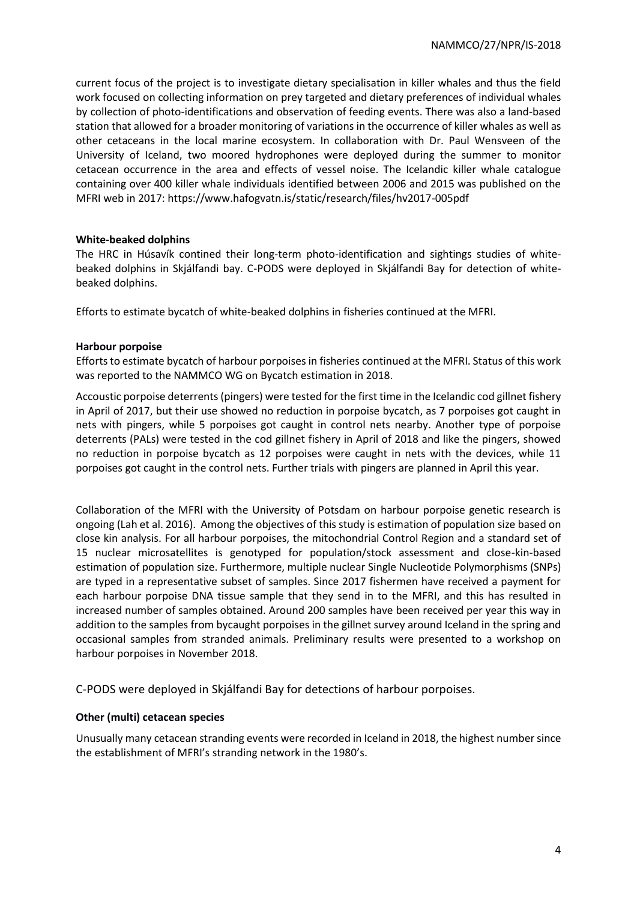current focus of the project is to investigate dietary specialisation in killer whales and thus the field work focused on collecting information on prey targeted and dietary preferences of individual whales by collection of photo-identifications and observation of feeding events. There was also a land-based station that allowed for a broader monitoring of variations in the occurrence of killer whales as well as other cetaceans in the local marine ecosystem. In collaboration with Dr. Paul Wensveen of the University of Iceland, two moored hydrophones were deployed during the summer to monitor cetacean occurrence in the area and effects of vessel noise. The Icelandic killer whale catalogue containing over 400 killer whale individuals identified between 2006 and 2015 was published on the MFRI web in 2017: https://www.hafogvatn.is/static/research/files/hv2017-005pdf

## **White-beaked dolphins**

The HRC in Húsavík contined their long-term photo-identification and sightings studies of whitebeaked dolphins in Skjálfandi bay. C-PODS were deployed in Skjálfandi Bay for detection of whitebeaked dolphins.

Efforts to estimate bycatch of white-beaked dolphins in fisheries continued at the MFRI.

#### **Harbour porpoise**

Efforts to estimate bycatch of harbour porpoises in fisheries continued at the MFRI. Status of this work was reported to the NAMMCO WG on Bycatch estimation in 2018.

Accoustic porpoise deterrents (pingers) were tested for the first time in the Icelandic cod gillnet fishery in April of 2017, but their use showed no reduction in porpoise bycatch, as 7 porpoises got caught in nets with pingers, while 5 porpoises got caught in control nets nearby. Another type of porpoise deterrents (PALs) were tested in the cod gillnet fishery in April of 2018 and like the pingers, showed no reduction in porpoise bycatch as 12 porpoises were caught in nets with the devices, while 11 porpoises got caught in the control nets. Further trials with pingers are planned in April this year.

Collaboration of the MFRI with the University of Potsdam on harbour porpoise genetic research is ongoing (Lah et al. 2016). Among the objectives of this study is estimation of population size based on close kin analysis. For all harbour porpoises, the mitochondrial Control Region and a standard set of 15 nuclear microsatellites is genotyped for population/stock assessment and close-kin-based estimation of population size. Furthermore, multiple nuclear Single Nucleotide Polymorphisms (SNPs) are typed in a representative subset of samples. Since 2017 fishermen have received a payment for each harbour porpoise DNA tissue sample that they send in to the MFRI, and this has resulted in increased number of samples obtained. Around 200 samples have been received per year this way in addition to the samples from bycaught porpoises in the gillnet survey around Iceland in the spring and occasional samples from stranded animals. Preliminary results were presented to a workshop on harbour porpoises in November 2018.

C-PODS were deployed in Skjálfandi Bay for detections of harbour porpoises.

## **Other (multi) cetacean species**

Unusually many cetacean stranding events were recorded in Iceland in 2018, the highest number since the establishment of MFRI's stranding network in the 1980's.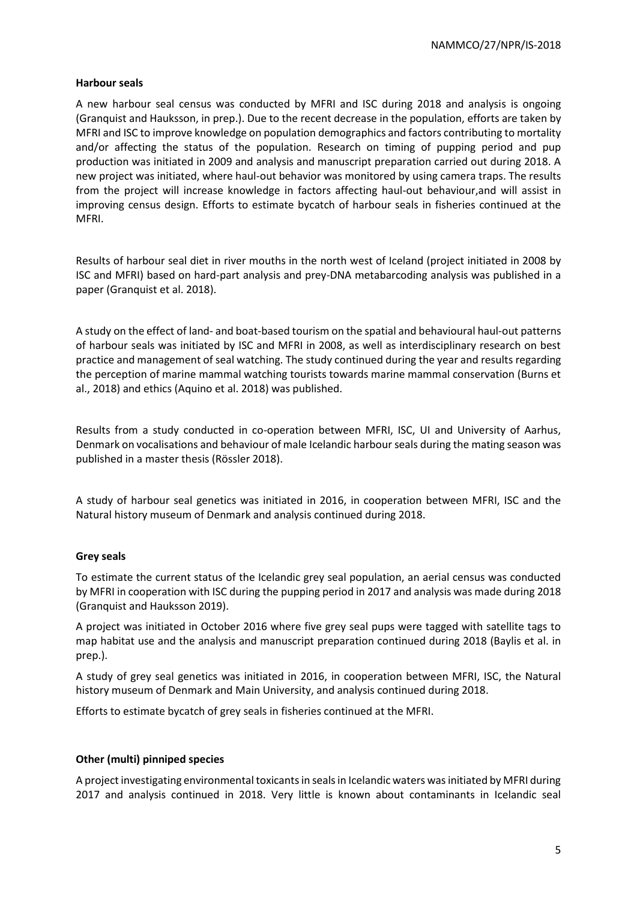## **Harbour seals**

A new harbour seal census was conducted by MFRI and ISC during 2018 and analysis is ongoing (Granquist and Hauksson, in prep.). Due to the recent decrease in the population, efforts are taken by MFRI and ISC to improve knowledge on population demographics and factors contributing to mortality and/or affecting the status of the population. Research on timing of pupping period and pup production was initiated in 2009 and analysis and manuscript preparation carried out during 2018. A new project was initiated, where haul-out behavior was monitored by using camera traps. The results from the project will increase knowledge in factors affecting haul-out behaviour,and will assist in improving census design. Efforts to estimate bycatch of harbour seals in fisheries continued at the MFRI.

Results of harbour seal diet in river mouths in the north west of Iceland (project initiated in 2008 by ISC and MFRI) based on hard-part analysis and prey-DNA metabarcoding analysis was published in a paper (Granquist et al. 2018).

A study on the effect of land- and boat-based tourism on the spatial and behavioural haul-out patterns of harbour seals was initiated by ISC and MFRI in 2008, as well as interdisciplinary research on best practice and management of seal watching. The study continued during the year and results regarding the perception of marine mammal watching tourists towards marine mammal conservation (Burns et al., 2018) and ethics (Aquino et al. 2018) was published.

Results from a study conducted in co-operation between MFRI, ISC, UI and University of Aarhus, Denmark on vocalisations and behaviour of male Icelandic harbour seals during the mating season was published in a master thesis (Rössler 2018).

A study of harbour seal genetics was initiated in 2016, in cooperation between MFRI, ISC and the Natural history museum of Denmark and analysis continued during 2018.

## **Grey seals**

To estimate the current status of the Icelandic grey seal population, an aerial census was conducted by MFRI in cooperation with ISC during the pupping period in 2017 and analysis was made during 2018 (Granquist and Hauksson 2019).

A project was initiated in October 2016 where five grey seal pups were tagged with satellite tags to map habitat use and the analysis and manuscript preparation continued during 2018 (Baylis et al. in prep.).

A study of grey seal genetics was initiated in 2016, in cooperation between MFRI, ISC, the Natural history museum of Denmark and Main University, and analysis continued during 2018.

Efforts to estimate bycatch of grey seals in fisheries continued at the MFRI.

## **Other (multi) pinniped species**

A project investigating environmental toxicants in seals in Icelandic waters was initiated by MFRI during 2017 and analysis continued in 2018. Very little is known about contaminants in Icelandic seal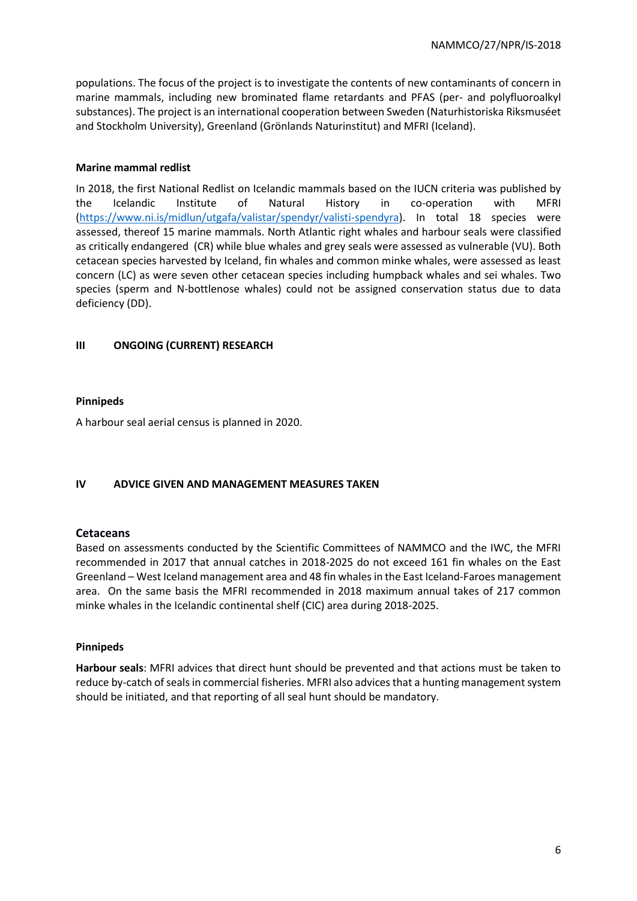populations. The focus of the project is to investigate the contents of new contaminants of concern in marine mammals, including new brominated flame retardants and PFAS (per- and polyfluoroalkyl substances). The project is an international cooperation between Sweden (Naturhistoriska Riksmuséet and Stockholm University), Greenland (Grönlands Naturinstitut) and MFRI (Iceland).

## **Marine mammal redlist**

In 2018, the first National Redlist on Icelandic mammals based on the IUCN criteria was published by the Icelandic Institute of Natural History in co-operation with MFRI [\(https://www.ni.is/midlun/utgafa/valistar/spendyr/valisti-spendyra\)](https://www.ni.is/midlun/utgafa/valistar/spendyr/valisti-spendyra). In total 18 species were assessed, thereof 15 marine mammals. North Atlantic right whales and harbour seals were classified as critically endangered (CR) while blue whales and grey seals were assessed as vulnerable (VU). Both cetacean species harvested by Iceland, fin whales and common minke whales, were assessed as least concern (LC) as were seven other cetacean species including humpback whales and sei whales. Two species (sperm and N-bottlenose whales) could not be assigned conservation status due to data deficiency (DD).

## **III ONGOING (CURRENT) RESEARCH**

## **Pinnipeds**

A harbour seal aerial census is planned in 2020.

# **IV ADVICE GIVEN AND MANAGEMENT MEASURES TAKEN**

# **Cetaceans**

Based on assessments conducted by the Scientific Committees of NAMMCO and the IWC, the MFRI recommended in 2017 that annual catches in 2018-2025 do not exceed 161 fin whales on the East Greenland – West Iceland management area and 48 fin whales in the East Iceland-Faroes management area. On the same basis the MFRI recommended in 2018 maximum annual takes of 217 common minke whales in the Icelandic continental shelf (CIC) area during 2018-2025.

## **Pinnipeds**

**Harbour seals**: MFRI advices that direct hunt should be prevented and that actions must be taken to reduce by-catch of seals in commercial fisheries. MFRI also advices that a hunting management system should be initiated, and that reporting of all seal hunt should be mandatory.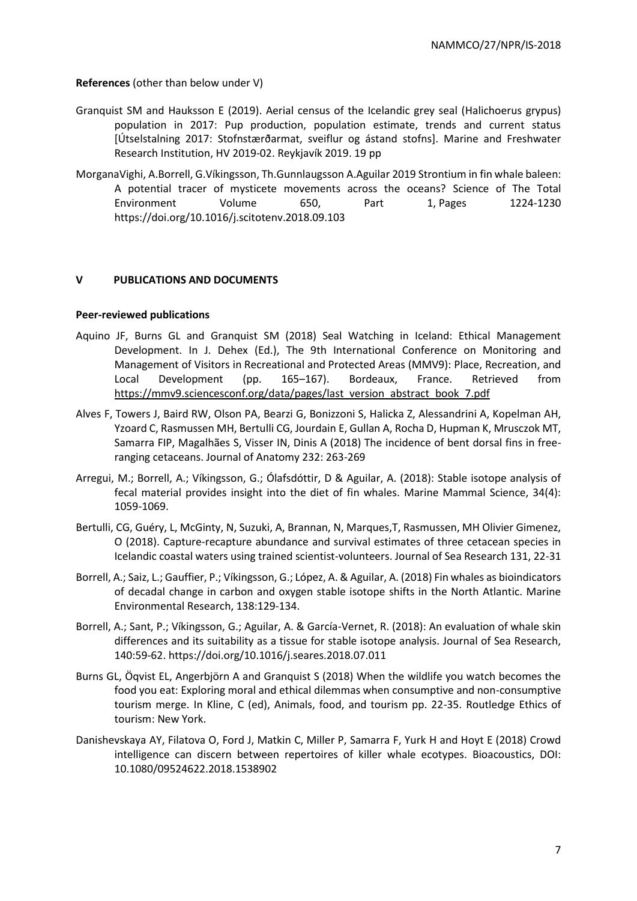**References** (other than below under V)

- Granquist SM and Hauksson E (2019). Aerial census of the Icelandic grey seal (Halichoerus grypus) population in 2017: Pup production, population estimate, trends and current status [Útselstalning 2017: Stofnstærðarmat, sveiflur og ástand stofns]. Marine and Freshwater Research Institution, HV 2019‐02. Reykjavík 2019. 19 pp
- [MorganaVighi, A.Borrell, G.Víkingsson, Th.Gunnlaugsson](https://www.sciencedirect.com/science/article/pii/S0048969718335459#!) [A.Aguilar 2019](https://www.sciencedirect.com/science/article/pii/S0048969718335459#!) Strontium in fin whale baleen: A potential tracer of mysticete movements across the oceans? [Science of The Total](https://www.sciencedirect.com/science/journal/00489697)  [Environment](https://www.sciencedirect.com/science/journal/00489697) [Volume 650, Part 1,](https://www.sciencedirect.com/science/journal/00489697/650/part/P1) Pages 1224-1230 <https://doi.org/10.1016/j.scitotenv.2018.09.103>

# **V PUBLICATIONS AND DOCUMENTS**

## **Peer-reviewed publications**

- Aquino JF, Burns GL and Granquist SM (2018) Seal Watching in Iceland: Ethical Management Development. In J. Dehex (Ed.), The 9th International Conference on Monitoring and Management of Visitors in Recreational and Protected Areas (MMV9): Place, Recreation, and Local Development (pp. 165–167). Bordeaux, France. Retrieved from [https://mmv9.sciencesconf.org/data/pages/last\\_version\\_abstract\\_book\\_7.pdf](https://emea01.safelinks.protection.outlook.com/?url=https%3A%2F%2Fmmv9.sciencesconf.org%2Fdata%2Fpages%2Flast_version_abstract_book_7.pdf&data=02|01||5e9c8e77f61f44da244a08d68b7eec51|8e105b94435e4303a61063620dbe162b|0|0|636849774583483033&sdata=Nf6BiR%2BDsU0TCklFPOnDr23aJSDd019IQb1a%2FIq1Tz0%3D&reserved=0)
- Alves F, Towers J, Baird RW, Olson PA, Bearzi G, Bonizzoni S, Halicka Z, Alessandrini A, Kopelman AH, Yzoard C, Rasmussen MH, Bertulli CG, Jourdain E, Gullan A, Rocha D, Hupman K, Mrusczok MT, Samarra FIP, Magalhães S, Visser IN, Dinis A (2018) The incidence of bent dorsal fins in freeranging cetaceans. Journal of Anatomy 232: 263-269
- Arregui, M.; Borrell, A.; Víkingsson, G.; Ólafsdóttir, D & Aguilar, A. (2018): Stable isotope analysis of fecal material provides insight into the diet of fin whales. Marine Mammal Science, 34(4): 1059-1069.
- Bertulli, CG, Guéry, L, McGinty, N, Suzuki, A, Brannan, N, Marques,T, Rasmussen, MH Olivier Gimenez, O (2018). Capture-recapture abundance and survival estimates of three cetacean species in Icelandic coastal waters using trained scientist-volunteers. Journal of Sea Research 131, 22-31
- Borrell, A.; Saiz, L.; Gauffier, P.; Víkingsson, G.; López, A. & Aguilar, A. (2018) Fin whales as bioindicators of decadal change in carbon and oxygen stable isotope shifts in the North Atlantic. Marine Environmental Research, 138:129-134.
- Borrell, A.; Sant, P.; Víkingsson, G.; Aguilar, A. & García-Vernet, R. (2018): An evaluation of whale skin differences and its suitability as a tissue for stable isotope analysis. Journal of Sea Research, 140:59-62[. https://doi.org/10.1016/j.seares.2018.07.011](https://emea01.safelinks.protection.outlook.com/?url=https%3A%2F%2Fdoi.org%2F10.1016%2Fj.seares.2018.07.011&data=02%7C01%7C%7C45e1a11111e14b90eea108d69c0212ce%7C8e105b94435e4303a61063620dbe162b%7C0%7C0%7C636867930057885280&sdata=dvINacsBYQ%2BCKDWhCaLlbaTF1j4vU9Q4t3jV9YxOHoI%3D&reserved=0)
- Burns GL, Öqvist EL, Angerbjörn A and Granquist S (2018) When the wildlife you watch becomes the food you eat: Exploring moral and ethical dilemmas when consumptive and non-consumptive tourism merge. In Kline, C (ed), Animals, food, and tourism pp. 22-35. Routledge Ethics of tourism: New York.
- Danishevskaya AY, Filatova O, Ford J, Matkin C, Miller P, Samarra F, Yurk H and Hoyt E (2018) Crowd intelligence can discern between repertoires of killer whale ecotypes. Bioacoustics, DOI: 10.1080/09524622.2018.1538902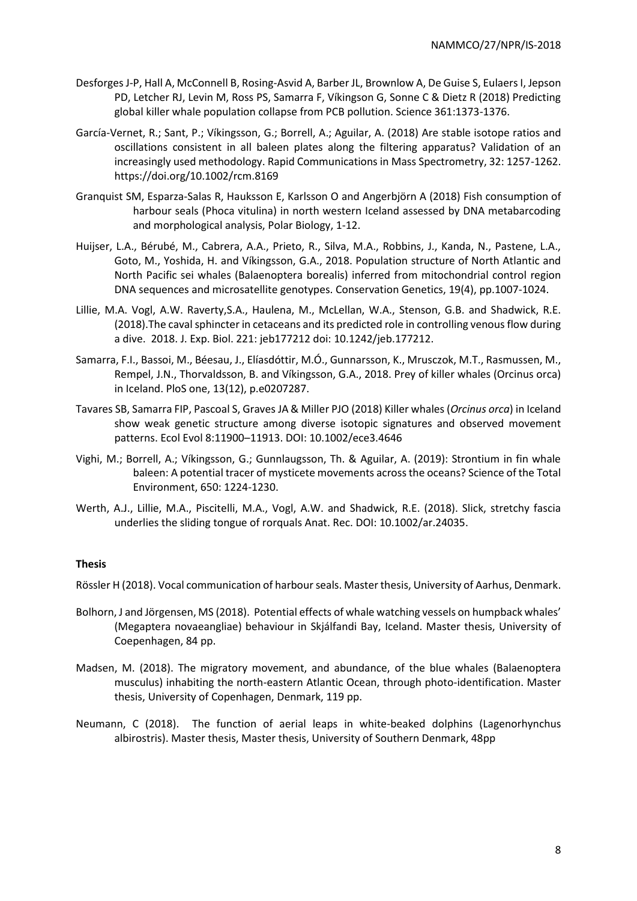- Desforges J-P, Hall A, McConnell B, Rosing-Asvid A, Barber JL, Brownlow A, De Guise S, Eulaers I, Jepson PD, Letcher RJ, Levin M, Ross PS, Samarra F, Víkingson G, Sonne C & Dietz R (2018) Predicting global killer whale population collapse from PCB pollution. Science 361:1373-1376.
- García-Vernet, R.; Sant, P.; Víkingsson, G.; Borrell, A.; Aguilar, A. (2018) Are stable isotope ratios and oscillations consistent in all baleen plates along the filtering apparatus? Validation of an increasingly used methodology. Rapid Communications in Mass Spectrometry, 32: 1257-1262. [https://doi.org/10.1002/rcm.8169](https://emea01.safelinks.protection.outlook.com/?url=https%3A%2F%2Fdoi.org%2F10.1002%2Frcm.8169&data=02%7C01%7C%7C45e1a11111e14b90eea108d69c0212ce%7C8e105b94435e4303a61063620dbe162b%7C0%7C0%7C636867930057875272&sdata=LBf4b7zBHQG%2FhLQSEFZZilh9NLJiOcAENCmM1z7Gono%3D&reserved=0)
- Granquist SM, Esparza-Salas R, Hauksson E, Karlsson O and Angerbjörn A (2018) Fish consumption of harbour seals (Phoca vitulina) in north western Iceland assessed by DNA metabarcoding and morphological analysis, Polar Biology, 1-12.
- Huijser, L.A., Bérubé, M., Cabrera, A.A., Prieto, R., Silva, M.A., Robbins, J., Kanda, N., Pastene, L.A., Goto, M., Yoshida, H. and Víkingsson, G.A., 2018. Population structure of North Atlantic and North Pacific sei whales (Balaenoptera borealis) inferred from mitochondrial control region DNA sequences and microsatellite genotypes. Conservation Genetics, 19(4), pp.1007-1024.
- Lillie, M.A. Vogl, A.W. Raverty,S.A., Haulena, M., McLellan, W.A., Stenson, G.B. and Shadwick, R.E. (2018).The caval sphincter in cetaceans and its predicted role in controlling venous flow during a dive. 2018. J. Exp. Biol. 221: jeb177212 doi: 10.1242/jeb.177212.
- Samarra, F.I., Bassoi, M., Béesau, J., Elíasdóttir, M.Ó., Gunnarsson, K., Mrusczok, M.T., Rasmussen, M., Rempel, J.N., Thorvaldsson, B. and Víkingsson, G.A., 2018. Prey of killer whales (Orcinus orca) in Iceland. PloS one, 13(12), p.e0207287.
- Tavares SB, Samarra FIP, Pascoal S, Graves JA & Miller PJO (2018) Killer whales (*Orcinus orca*) in Iceland show weak genetic structure among diverse isotopic signatures and observed movement patterns. Ecol Evol 8:11900–11913. DOI: 10.1002/ece3.4646
- Vighi, M.; Borrell, A.; Víkingsson, G.; Gunnlaugsson, Th. & Aguilar, A. (2019): Strontium in fin whale baleen: A potential tracer of mysticete movements across the oceans? Science of the Total Environment, 650: 1224-1230.
- Werth, A.J., Lillie, M.A., Piscitelli, M.A., Vogl, A.W. and Shadwick, R.E. (2018). Slick, stretchy fascia underlies the sliding tongue of rorquals Anat. Rec. DOI: 10.1002/ar.24035.

# **Thesis**

Rössler H (2018). Vocal communication of harbour seals. Master thesis, University of Aarhus, Denmark.

- Bolhorn, J and Jörgensen, MS (2018). Potential effects of whale watching vessels on humpback whales' (Megaptera novaeangliae) behaviour in Skjálfandi Bay, Iceland. Master thesis, University of Coepenhagen, 84 pp.
- Madsen, M. (2018). The migratory movement, and abundance, of the blue whales (Balaenoptera musculus) inhabiting the north-eastern Atlantic Ocean, through photo-identification. Master thesis, University of Copenhagen, Denmark, 119 pp.
- Neumann, C (2018). The function of aerial leaps in white-beaked dolphins (Lagenorhynchus albirostris). Master thesis, Master thesis, University of Southern Denmark, 48pp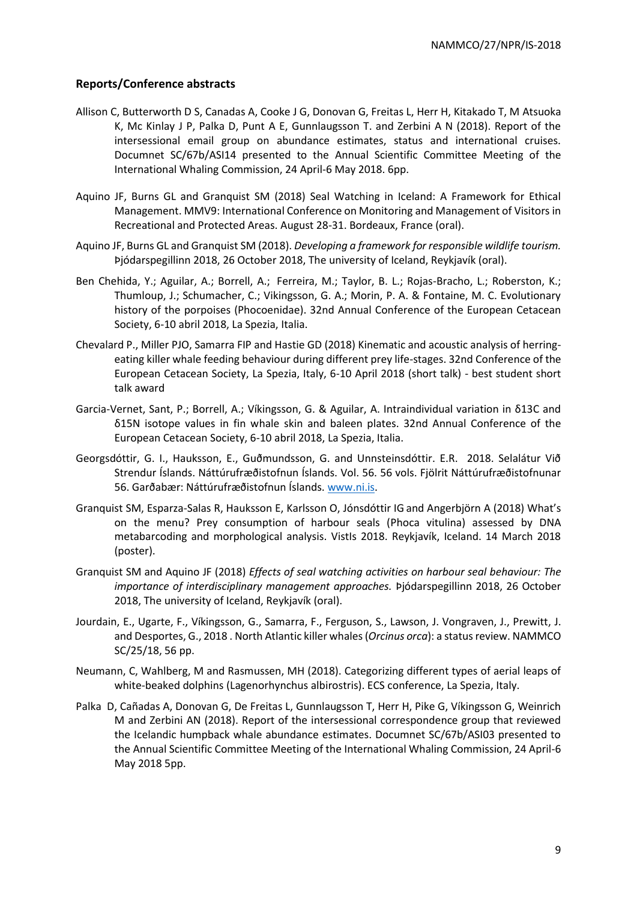## **Reports/Conference abstracts**

- Allison C, Butterworth D S, Canadas A, Cooke J G, Donovan G, Freitas L, Herr H, Kitakado T, M Atsuoka K, Mc Kinlay J P, Palka D, Punt A E, Gunnlaugsson T. and Zerbini A N (2018). Report of the intersessional email group on abundance estimates, status and international cruises. Documnet SC/67b/ASI14 presented to the Annual Scientific Committee Meeting of the International Whaling Commission, 24 April-6 May 2018. 6pp.
- Aquino JF, Burns GL and Granquist SM (2018) Seal Watching in Iceland: A Framework for Ethical Management. MMV9: International Conference on Monitoring and Management of Visitors in Recreational and Protected Areas. August 28-31. Bordeaux, France (oral).
- Aquino JF, Burns GL and Granquist SM (2018). *Developing a framework for responsible wildlife tourism.*  Þjódarspegillinn 2018, 26 October 2018, The university of Iceland, Reykjavík (oral).
- Ben Chehida, Y.; Aguilar, A.; Borrell, A.; Ferreira, M.; Taylor, B. L.; Rojas-Bracho, L.; Roberston, K.; Thumloup, J.; Schumacher, C.; Vikingsson, G. A.; Morin, P. A. & Fontaine, M. C. Evolutionary history of the porpoises (Phocoenidae). 32nd Annual Conference of the European Cetacean Society, 6-10 abril 2018, La Spezia, Italia.
- Chevalard P., Miller PJO, Samarra FIP and Hastie GD (2018) Kinematic and acoustic analysis of herringeating killer whale feeding behaviour during different prey life-stages. 32nd Conference of the European Cetacean Society, La Spezia, Italy, 6-10 April 2018 (short talk) - best student short talk award
- Garcia-Vernet, Sant, P.; Borrell, A.; Víkingsson, G. & Aguilar, A. Intraindividual variation in δ13C and δ15N isotope values in fin whale skin and baleen plates. 32nd Annual Conference of the European Cetacean Society, 6-10 abril 2018, La Spezia, Italia.
- Georgsdóttir, G. I., Hauksson, E., Guðmundsson, G. and Unnsteinsdóttir. E.R. 2018. Selalátur Við Strendur Íslands. Náttúrufræðistofnun Íslands. Vol. 56. 56 vols. Fjölrit Náttúrufræðistofnunar 56. Garðabær: Náttúrufræðistofnun Íslands. [www.ni.is.](http://www.ni.is/)
- Granquist SM, Esparza-Salas R, Hauksson E, Karlsson O, Jónsdóttir IG and Angerbjörn A (2018) What's on the menu? Prey consumption of harbour seals (Phoca vitulina) assessed by DNA metabarcoding and morphological analysis. VistIs 2018. Reykjavík, Iceland. 14 March 2018 (poster).
- Granquist SM and Aquino JF (2018) *Effects of seal watching activities on harbour seal behaviour: The importance of interdisciplinary management approaches.* Þjódarspegillinn 2018, 26 October 2018, The university of Iceland, Reykjavík (oral).
- Jourdain, E., Ugarte, F., Víkingsson, G., Samarra, F., Ferguson, S., Lawson, J. Vongraven, J., Prewitt, J. and Desportes, G., 2018 . North Atlantic killer whales (*Orcinus orca*): a status review. NAMMCO SC/25/18, 56 pp.
- Neumann, C, Wahlberg, M and Rasmussen, MH (2018). Categorizing different types of aerial leaps of white-beaked dolphins (Lagenorhynchus albirostris). ECS conference, La Spezia, Italy.
- Palka D, Cañadas A, Donovan G, De Freitas L, Gunnlaugsson T, Herr H, Pike G, Víkingsson G, Weinrich M and Zerbini AN (2018). Report of the intersessional correspondence group that reviewed the Icelandic humpback whale abundance estimates. Documnet SC/67b/ASI03 presented to the Annual Scientific Committee Meeting of the International Whaling Commission, 24 April-6 May 2018 5pp.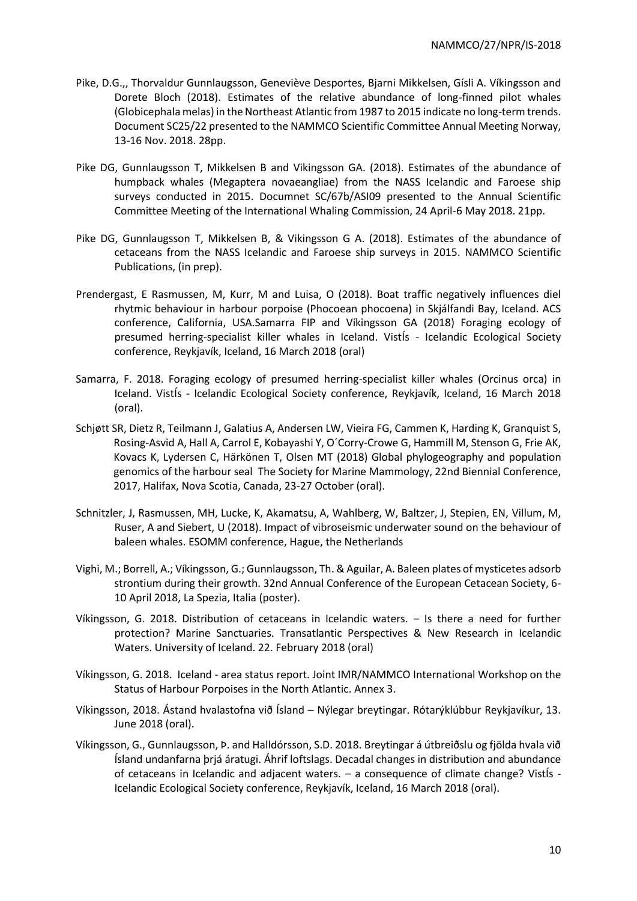- Pike, D.G.,, Thorvaldur Gunnlaugsson, Geneviève Desportes, Bjarni Mikkelsen, Gísli A. Víkingsson and Dorete Bloch (2018). Estimates of the relative abundance of long-finned pilot whales (Globicephala melas) in the Northeast Atlantic from 1987 to 2015 indicate no long-term trends. Document SC25/22 presented to the NAMMCO Scientific Committee Annual Meeting Norway, 13-16 Nov. 2018. 28pp.
- Pike DG, Gunnlaugsson T, Mikkelsen B and Vikingsson GA. (2018). Estimates of the abundance of humpback whales (Megaptera novaeangliae) from the NASS Icelandic and Faroese ship surveys conducted in 2015. Documnet SC/67b/ASI09 presented to the Annual Scientific Committee Meeting of the International Whaling Commission, 24 April-6 May 2018. 21pp.
- Pike DG, Gunnlaugsson T, Mikkelsen B, & Vikingsson G A. (2018). Estimates of the abundance of cetaceans from the NASS Icelandic and Faroese ship surveys in 2015. NAMMCO Scientific Publications, (in prep).
- Prendergast, E Rasmussen, M, Kurr, M and Luisa, O (2018). Boat traffic negatively influences diel rhytmic behaviour in harbour porpoise (Phocoean phocoena) in Skjálfandi Bay, Iceland. ACS conference, California, USA.Samarra FIP and Víkingsson GA (2018) Foraging ecology of presumed herring-specialist killer whales in Iceland. VistÍs - Icelandic Ecological Society conference, Reykjavík, Iceland, 16 March 2018 (oral)
- Samarra, F. 2018. Foraging ecology of presumed herring-specialist killer whales (Orcinus orca) in Iceland. VistÍs - Icelandic Ecological Society conference, Reykjavík, Iceland, 16 March 2018 (oral).
- Schjøtt SR, Dietz R, Teilmann J, Galatius A, Andersen LW, Vieira FG, Cammen K, Harding K, Granquist S, Rosing-Asvid A, Hall A, Carrol E, Kobayashi Y, O´Corry-Crowe G, Hammill M, Stenson G, Frie AK, Kovacs K, Lydersen C, Härkönen T, Olsen MT (2018) Global phylogeography and population genomics of the harbour seal The Society for Marine Mammology, 22nd Biennial Conference, 2017, Halifax, Nova Scotia, Canada, 23-27 October (oral).
- Schnitzler, J, Rasmussen, MH, Lucke, K, Akamatsu, A, Wahlberg, W, Baltzer, J, Stepien, EN, Villum, M, Ruser, A and Siebert, U (2018). Impact of vibroseismic underwater sound on the behaviour of baleen whales. ESOMM conference, Hague, the Netherlands
- Vighi, M.; Borrell, A.; Víkingsson, G.; Gunnlaugsson, Th. & Aguilar, A. Baleen plates of mysticetes adsorb strontium during their growth. 32nd Annual Conference of the European Cetacean Society, 6- 10 April 2018, La Spezia, Italia (poster).
- Víkingsson, G. 2018. Distribution of cetaceans in Icelandic waters. Is there a need for further protection? Marine Sanctuaries. Transatlantic Perspectives & New Research in Icelandic Waters. University of Iceland. 22. February 2018 (oral)
- Víkingsson, G. 2018. Iceland area status report. Joint IMR/NAMMCO International Workshop on the Status of Harbour Porpoises in the North Atlantic. Annex 3.
- Víkingsson, 2018. Ástand hvalastofna við Ísland Nýlegar breytingar. Rótarýklúbbur Reykjavíkur, 13. June 2018 (oral).
- Víkingsson, G., Gunnlaugsson, Þ. and Halldórsson, S.D. 2018. Breytingar á útbreiðslu og fjölda hvala við Ísland undanfarna þrjá áratugi. Áhrif loftslags. Decadal changes in distribution and abundance of cetaceans in Icelandic and adjacent waters. – a consequence of climate change? VistÍs - Icelandic Ecological Society conference, Reykjavík, Iceland, 16 March 2018 (oral).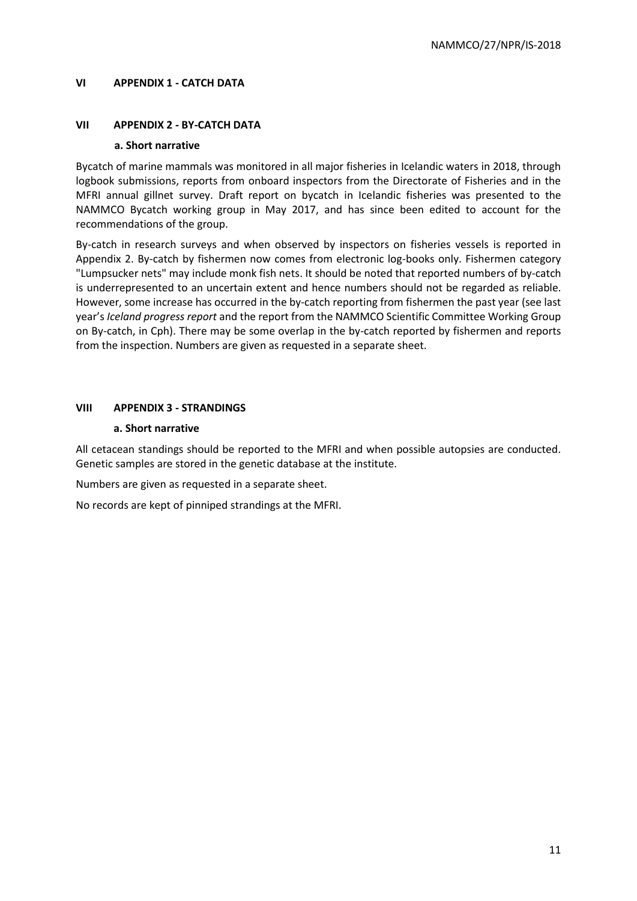# **VI APPENDIX 1 - CATCH DATA**

## **VII APPENDIX 2 - BY-CATCH DATA**

#### **a. Short narrative**

Bycatch of marine mammals was monitored in all major fisheries in Icelandic waters in 2018, through logbook submissions, reports from onboard inspectors from the Directorate of Fisheries and in the MFRI annual gillnet survey. Draft report on bycatch in Icelandic fisheries was presented to the NAMMCO Bycatch working group in May 2017, and has since been edited to account for the recommendations of the group.

By-catch in research surveys and when observed by inspectors on fisheries vessels is reported in Appendix 2. By-catch by fishermen now comes from electronic log-books only. Fishermen category "Lumpsucker nets" may include monk fish nets. It should be noted that reported numbers of by-catch is underrepresented to an uncertain extent and hence numbers should not be regarded as reliable. However, some increase has occurred in the by-catch reporting from fishermen the past year (see last year's *Iceland progress report* and the report from the NAMMCO Scientific Committee Working Group on By-catch, in Cph). There may be some overlap in the by-catch reported by fishermen and reports from the inspection. Numbers are given as requested in a separate sheet.

## **VIII APPENDIX 3 - STRANDINGS**

## **a. Short narrative**

All cetacean standings should be reported to the MFRI and when possible autopsies are conducted. Genetic samples are stored in the genetic database at the institute.

Numbers are given as requested in a separate sheet.

No records are kept of pinniped strandings at the MFRI.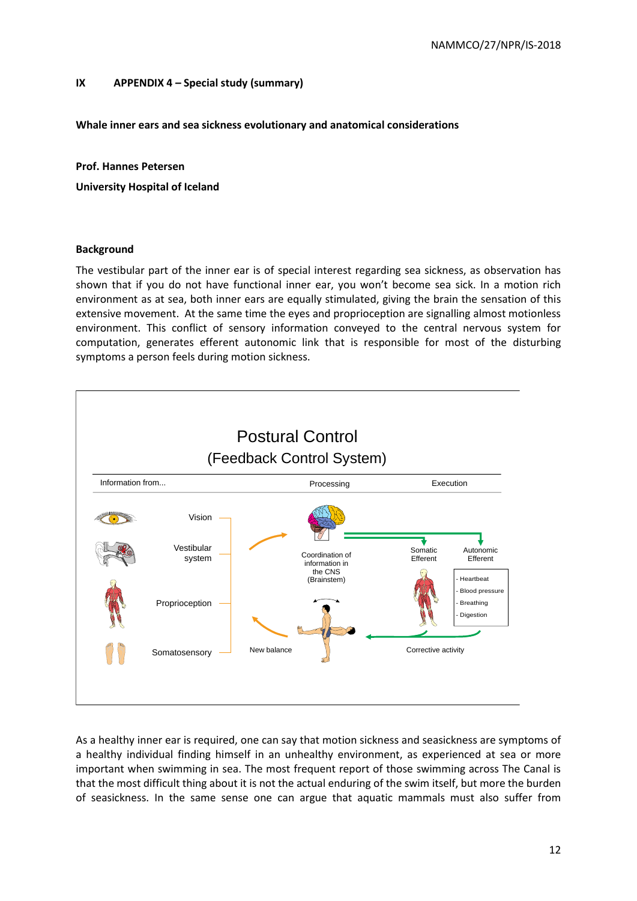## **IX APPENDIX 4 – Special study (summary)**

**Whale inner ears and sea sickness evolutionary and anatomical considerations**

**Prof. Hannes Petersen**

**University Hospital of Iceland**

#### **Background**

The vestibular part of the inner ear is of special interest regarding sea sickness, as observation has shown that if you do not have functional inner ear, you won't become sea sick. In a motion rich environment as at sea, both inner ears are equally stimulated, giving the brain the sensation of this extensive movement. At the same time the eyes and proprioception are signalling almost motionless environment. This conflict of sensory information conveyed to the central nervous system for computation, generates efferent autonomic link that is responsible for most of the disturbing symptoms a person feels during motion sickness.



As a healthy inner ear is required, one can say that motion sickness and seasickness are symptoms of a healthy individual finding himself in an unhealthy environment, as experienced at sea or more important when swimming in sea. The most frequent report of those swimming across The Canal is that the most difficult thing about it is not the actual enduring of the swim itself, but more the burden of seasickness. In the same sense one can argue that aquatic mammals must also suffer from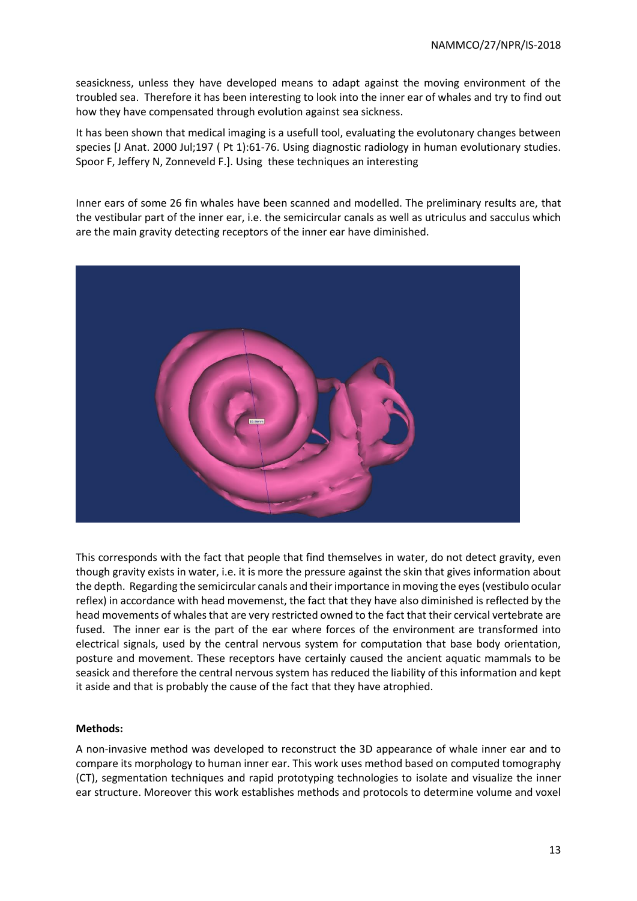seasickness, unless they have developed means to adapt against the moving environment of the troubled sea. Therefore it has been interesting to look into the inner ear of whales and try to find out how they have compensated through evolution against sea sickness.

It has been shown that medical imaging is a usefull tool, evaluating the evolutonary changes between species [\[J Anat.](javascript:AL_get(this,%20) 2000 Jul;197 ( Pt 1):61-76. Using diagnostic radiology in human evolutionary studies. [Spoor F,](http://www.ncbi.nlm.nih.gov/pubmed?term=%22Spoor%20F%22%5BAuthor%5D) [Jeffery N,](http://www.ncbi.nlm.nih.gov/pubmed?term=%22Jeffery%20N%22%5BAuthor%5D) [Zonneveld F.](http://www.ncbi.nlm.nih.gov/pubmed?term=%22Zonneveld%20F%22%5BAuthor%5D)]. Using these techniques an interesting

Inner ears of some 26 fin whales have been scanned and modelled. The preliminary results are, that the vestibular part of the inner ear, i.e. the semicircular canals as well as utriculus and sacculus which are the main gravity detecting receptors of the inner ear have diminished.



This corresponds with the fact that people that find themselves in water, do not detect gravity, even though gravity exists in water, i.e. it is more the pressure against the skin that gives information about the depth. Regarding the semicircular canals and their importance in moving the eyes (vestibulo ocular reflex) in accordance with head movemenst, the fact that they have also diminished is reflected by the head movements of whales that are very restricted owned to the fact that their cervical vertebrate are fused. The inner ear is the part of the ear where forces of the environment are transformed into electrical signals, used by the central nervous system for computation that base body orientation, posture and movement. These receptors have certainly caused the ancient aquatic mammals to be seasick and therefore the central nervous system has reduced the liability of this information and kept it aside and that is probably the cause of the fact that they have atrophied.

# **Methods:**

A non-invasive method was developed to reconstruct the 3D appearance of whale inner ear and to compare its morphology to human inner ear. This work uses method based on computed tomography (CT), segmentation techniques and rapid prototyping technologies to isolate and visualize the inner ear structure. Moreover this work establishes methods and protocols to determine volume and voxel